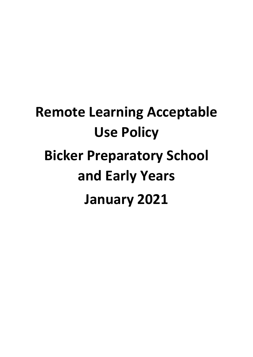# **Remote Learning Acceptable Use Policy Bicker Preparatory School and Early Years January 2021**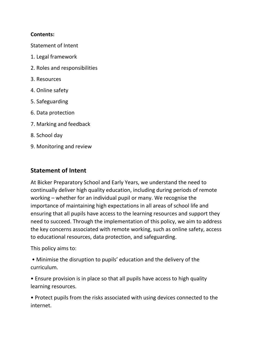## **Contents:**

Statement of Intent

- 1. Legal framework
- 2. Roles and responsibilities
- 3. Resources
- 4. Online safety
- 5. Safeguarding
- 6. Data protection
- 7. Marking and feedback
- 8. School day
- 9. Monitoring and review

# **Statement of Intent**

At Bicker Preparatory School and Early Years, we understand the need to continually deliver high quality education, including during periods of remote working – whether for an individual pupil or many. We recognise the importance of maintaining high expectations in all areas of school life and ensuring that all pupils have access to the learning resources and support they need to succeed. Through the implementation of this policy, we aim to address the key concerns associated with remote working, such as online safety, access to educational resources, data protection, and safeguarding.

This policy aims to:

• Minimise the disruption to pupils' education and the delivery of the curriculum.

• Ensure provision is in place so that all pupils have access to high quality learning resources.

• Protect pupils from the risks associated with using devices connected to the internet.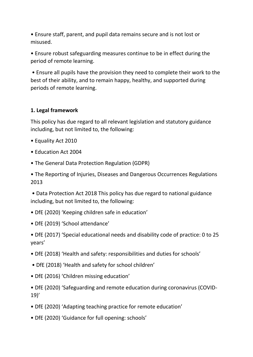• Ensure staff, parent, and pupil data remains secure and is not lost or misused.

• Ensure robust safeguarding measures continue to be in effect during the period of remote learning.

• Ensure all pupils have the provision they need to complete their work to the best of their ability, and to remain happy, healthy, and supported during periods of remote learning.

## **1. Legal framework**

This policy has due regard to all relevant legislation and statutory guidance including, but not limited to, the following:

- Equality Act 2010
- Education Act 2004
- The General Data Protection Regulation (GDPR)

• The Reporting of Injuries, Diseases and Dangerous Occurrences Regulations 2013

• Data Protection Act 2018 This policy has due regard to national guidance including, but not limited to, the following:

- DfE (2020) 'Keeping children safe in education'
- DfE (2019) 'School attendance'

• DfE (2017) 'Special educational needs and disability code of practice: 0 to 25 years'

- DfE (2018) 'Health and safety: responsibilities and duties for schools'
- DfE (2018) 'Health and safety for school children'
- DfE (2016) 'Children missing education'

• DfE (2020) 'Safeguarding and remote education during coronavirus (COVID-19)'

- DfE (2020) 'Adapting teaching practice for remote education'
- DfE (2020) 'Guidance for full opening: schools'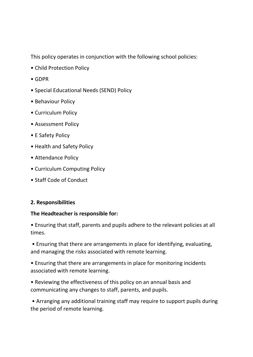This policy operates in conjunction with the following school policies:

- Child Protection Policy
- GDPR
- Special Educational Needs (SEND) Policy
- Behaviour Policy
- Curriculum Policy
- Assessment Policy
- E Safety Policy
- Health and Safety Policy
- Attendance Policy
- Curriculum Computing Policy
- Staff Code of Conduct

## **2. Responsibilities**

#### **The Headteacher is responsible for:**

• Ensuring that staff, parents and pupils adhere to the relevant policies at all times.

• Ensuring that there are arrangements in place for identifying, evaluating, and managing the risks associated with remote learning.

• Ensuring that there are arrangements in place for monitoring incidents associated with remote learning.

• Reviewing the effectiveness of this policy on an annual basis and communicating any changes to staff, parents, and pupils.

• Arranging any additional training staff may require to support pupils during the period of remote learning.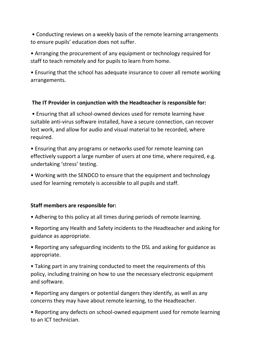• Conducting reviews on a weekly basis of the remote learning arrangements to ensure pupils' education does not suffer.

• Arranging the procurement of any equipment or technology required for staff to teach remotely and for pupils to learn from home.

• Ensuring that the school has adequate insurance to cover all remote working arrangements.

## **The IT Provider in conjunction with the Headteacher is responsible for:**

• Ensuring that all school-owned devices used for remote learning have suitable anti-virus software installed, have a secure connection, can recover lost work, and allow for audio and visual material to be recorded, where required.

• Ensuring that any programs or networks used for remote learning can effectively support a large number of users at one time, where required, e.g. undertaking 'stress' testing.

• Working with the SENDCO to ensure that the equipment and technology used for learning remotely is accessible to all pupils and staff.

## **Staff members are responsible for:**

• Adhering to this policy at all times during periods of remote learning.

• Reporting any Health and Safety incidents to the Headteacher and asking for guidance as appropriate.

• Reporting any safeguarding incidents to the DSL and asking for guidance as appropriate.

• Taking part in any training conducted to meet the requirements of this policy, including training on how to use the necessary electronic equipment and software.

• Reporting any dangers or potential dangers they identify, as well as any concerns they may have about remote learning, to the Headteacher.

• Reporting any defects on school-owned equipment used for remote learning to an ICT technician.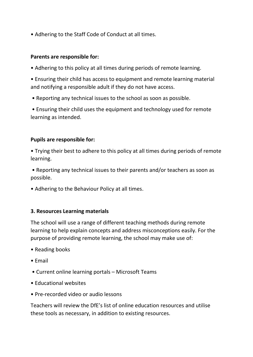• Adhering to the Staff Code of Conduct at all times.

#### **Parents are responsible for:**

• Adhering to this policy at all times during periods of remote learning.

• Ensuring their child has access to equipment and remote learning material and notifying a responsible adult if they do not have access.

• Reporting any technical issues to the school as soon as possible.

• Ensuring their child uses the equipment and technology used for remote learning as intended.

#### **Pupils are responsible for:**

• Trying their best to adhere to this policy at all times during periods of remote learning.

• Reporting any technical issues to their parents and/or teachers as soon as possible.

• Adhering to the Behaviour Policy at all times.

#### **3. Resources Learning materials**

The school will use a range of different teaching methods during remote learning to help explain concepts and address misconceptions easily. For the purpose of providing remote learning, the school may make use of:

- Reading books
- Email
- Current online learning portals Microsoft Teams
- Educational websites
- Pre-recorded video or audio lessons

Teachers will review the DfE's list of online education resources and utilise these tools as necessary, in addition to existing resources.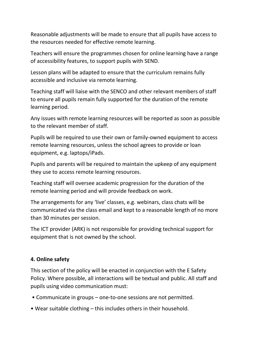Reasonable adjustments will be made to ensure that all pupils have access to the resources needed for effective remote learning.

Teachers will ensure the programmes chosen for online learning have a range of accessibility features, to support pupils with SEND.

Lesson plans will be adapted to ensure that the curriculum remains fully accessible and inclusive via remote learning.

Teaching staff will liaise with the SENCO and other relevant members of staff to ensure all pupils remain fully supported for the duration of the remote learning period.

Any issues with remote learning resources will be reported as soon as possible to the relevant member of staff.

Pupils will be required to use their own or family-owned equipment to access remote learning resources, unless the school agrees to provide or loan equipment, e.g. laptops/iPads.

Pupils and parents will be required to maintain the upkeep of any equipment they use to access remote learning resources.

Teaching staff will oversee academic progression for the duration of the remote learning period and will provide feedback on work.

The arrangements for any 'live' classes, e.g. webinars, class chats will be communicated via the class email and kept to a reasonable length of no more than 30 minutes per session.

The ICT provider (ARK) is not responsible for providing technical support for equipment that is not owned by the school.

## **4. Online safety**

This section of the policy will be enacted in conjunction with the E Safety Policy. Where possible, all interactions will be textual and public. All staff and pupils using video communication must:

- Communicate in groups one-to-one sessions are not permitted.
- Wear suitable clothing this includes others in their household.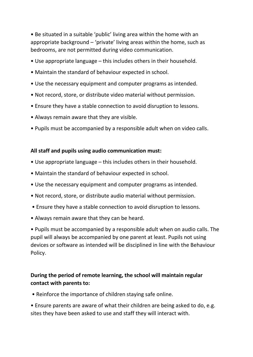• Be situated in a suitable 'public' living area within the home with an appropriate background – 'private' living areas within the home, such as bedrooms, are not permitted during video communication.

- Use appropriate language this includes others in their household.
- Maintain the standard of behaviour expected in school.
- Use the necessary equipment and computer programs as intended.
- Not record, store, or distribute video material without permission.
- Ensure they have a stable connection to avoid disruption to lessons.
- Always remain aware that they are visible.
- Pupils must be accompanied by a responsible adult when on video calls.

## **All staff and pupils using audio communication must:**

- Use appropriate language this includes others in their household.
- Maintain the standard of behaviour expected in school.
- Use the necessary equipment and computer programs as intended.
- Not record, store, or distribute audio material without permission.
- Ensure they have a stable connection to avoid disruption to lessons.
- Always remain aware that they can be heard.

• Pupils must be accompanied by a responsible adult when on audio calls. The pupil will always be accompanied by one parent at least. Pupils not using devices or software as intended will be disciplined in line with the Behaviour Policy.

# **During the period of remote learning, the school will maintain regular contact with parents to:**

• Reinforce the importance of children staying safe online.

• Ensure parents are aware of what their children are being asked to do, e.g. sites they have been asked to use and staff they will interact with.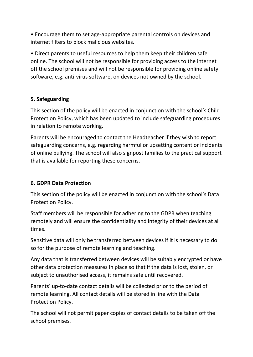• Encourage them to set age-appropriate parental controls on devices and internet filters to block malicious websites.

• Direct parents to useful resources to help them keep their children safe online. The school will not be responsible for providing access to the internet off the school premises and will not be responsible for providing online safety software, e.g. anti-virus software, on devices not owned by the school.

# **5. Safeguarding**

This section of the policy will be enacted in conjunction with the school's Child Protection Policy, which has been updated to include safeguarding procedures in relation to remote working.

Parents will be encouraged to contact the Headteacher if they wish to report safeguarding concerns, e.g. regarding harmful or upsetting content or incidents of online bullying. The school will also signpost families to the practical support that is available for reporting these concerns.

## **6. GDPR Data Protection**

This section of the policy will be enacted in conjunction with the school's Data Protection Policy.

Staff members will be responsible for adhering to the GDPR when teaching remotely and will ensure the confidentiality and integrity of their devices at all times.

Sensitive data will only be transferred between devices if it is necessary to do so for the purpose of remote learning and teaching.

Any data that is transferred between devices will be suitably encrypted or have other data protection measures in place so that if the data is lost, stolen, or subject to unauthorised access, it remains safe until recovered.

Parents' up-to-date contact details will be collected prior to the period of remote learning. All contact details will be stored in line with the Data Protection Policy.

The school will not permit paper copies of contact details to be taken off the school premises.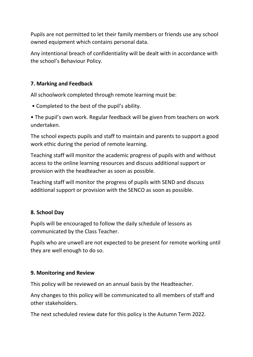Pupils are not permitted to let their family members or friends use any school owned equipment which contains personal data.

Any intentional breach of confidentiality will be dealt with in accordance with the school's Behaviour Policy.

## **7. Marking and Feedback**

All schoolwork completed through remote learning must be:

• Completed to the best of the pupil's ability.

• The pupil's own work. Regular feedback will be given from teachers on work undertaken.

The school expects pupils and staff to maintain and parents to support a good work ethic during the period of remote learning.

Teaching staff will monitor the academic progress of pupils with and without access to the online learning resources and discuss additional support or provision with the headteacher as soon as possible.

Teaching staff will monitor the progress of pupils with SEND and discuss additional support or provision with the SENCO as soon as possible.

## **8. School Day**

Pupils will be encouraged to follow the daily schedule of lessons as communicated by the Class Teacher.

Pupils who are unwell are not expected to be present for remote working until they are well enough to do so.

## **9. Monitoring and Review**

This policy will be reviewed on an annual basis by the Headteacher.

Any changes to this policy will be communicated to all members of staff and other stakeholders.

The next scheduled review date for this policy is the Autumn Term 2022.